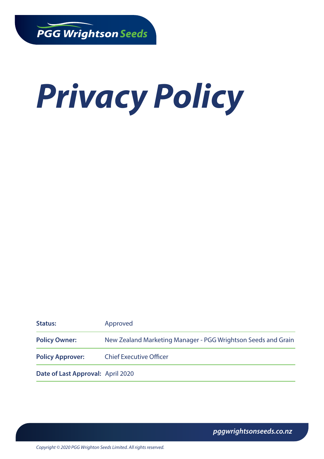# *Privacy Policy*

| <b>Status:</b>                    | Approved                                                      |
|-----------------------------------|---------------------------------------------------------------|
| <b>Policy Owner:</b>              | New Zealand Marketing Manager - PGG Wrightson Seeds and Grain |
| <b>Policy Approver:</b>           | <b>Chief Executive Officer</b>                                |
| Date of Last Approval: April 2020 |                                                               |

*pggwrightsonseeds.co.nz*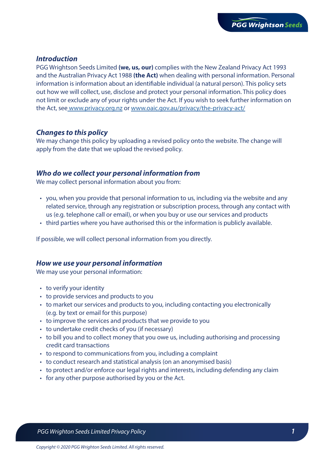## *Introduction*

PGG Wrightson Seeds Limited **(we, us, our)** complies with the New Zealand Privacy Act 1993 and the Australian Privacy Act 1988 **(the Act)** when dealing with personal information. Personal information is information about an identifiable individual (a natural person). This policy sets out how we will collect, use, disclose and protect your personal information. This policy does not limit or exclude any of your rights under the Act. If you wish to seek further information on the Act, se[e www.privacy.org.nz](https://www.privacy.org.nz) or [www.oaic.gov.au/privacy/the-privacy-act/](https://www.oaic.gov.au/privacy/the-privacy-act/)

# *Changes to this policy*

We may change this policy by uploading a revised policy onto the website. The change will apply from the date that we upload the revised policy.

## *Who do we collect your personal information from*

We may collect personal information about you from:

- you, when you provide that personal information to us, including via the website and any related service, through any registration or subscription process, through any contact with us (e.g. telephone call or email), or when you buy or use our services and products
- third parties where you have authorised this or the information is publicly available.

If possible, we will collect personal information from you directly.

#### *How we use your personal information*

We may use your personal information:

- to verify your identity
- to provide services and products to you
- to market our services and products to you, including contacting you electronically (e.g. by text or email for this purpose)
- to improve the services and products that we provide to you
- to undertake credit checks of you (if necessary)
- to bill you and to collect money that you owe us, including authorising and processing credit card transactions
- to respond to communications from you, including a complaint
- to conduct research and statistical analysis (on an anonymised basis)
- to protect and/or enforce our legal rights and interests, including defending any claim
- for any other purpose authorised by you or the Act.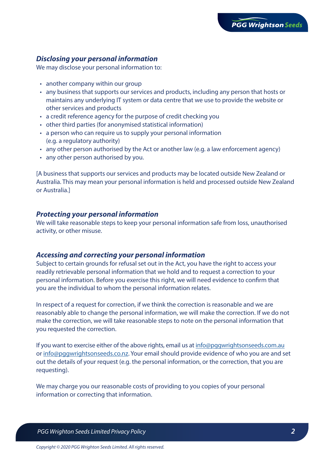# *Disclosing your personal information*

We may disclose your personal information to:

- another company within our group
- any business that supports our services and products, including any person that hosts or maintains any underlying IT system or data centre that we use to provide the website or other services and products
- a credit reference agency for the purpose of credit checking you
- other third parties (for anonymised statistical information)
- a person who can require us to supply your personal information (e.g. a regulatory authority)
- any other person authorised by the Act or another law (e.g. a law enforcement agency)
- any other person authorised by you.

[A business that supports our services and products may be located outside New Zealand or Australia. This may mean your personal information is held and processed outside New Zealand or Australia.]

#### *Protecting your personal information*

We will take reasonable steps to keep your personal information safe from loss, unauthorised activity, or other misuse.

#### *Accessing and correcting your personal information*

Subject to certain grounds for refusal set out in the Act, you have the right to access your readily retrievable personal information that we hold and to request a correction to your personal information. Before you exercise this right, we will need evidence to confirm that you are the individual to whom the personal information relates.

In respect of a request for correction, if we think the correction is reasonable and we are reasonably able to change the personal information, we will make the correction. If we do not make the correction, we will take reasonable steps to note on the personal information that you requested the correction.

If you want to exercise either of the above rights, email us at [info@pggwrightsonseeds.com.au](mailto:info@pggwrightsonseeds.com.au) or [info@pggwrightsonseeds.co.nz.](mailto:info@pggwrightsonseeds.co.nz) Your email should provide evidence of who you are and set out the details of your request (e.g. the personal information, or the correction, that you are requesting).

We may charge you our reasonable costs of providing to you copies of your personal information or correcting that information.

 *PGG Wrighton Seeds Limited Privacy Policy 2*